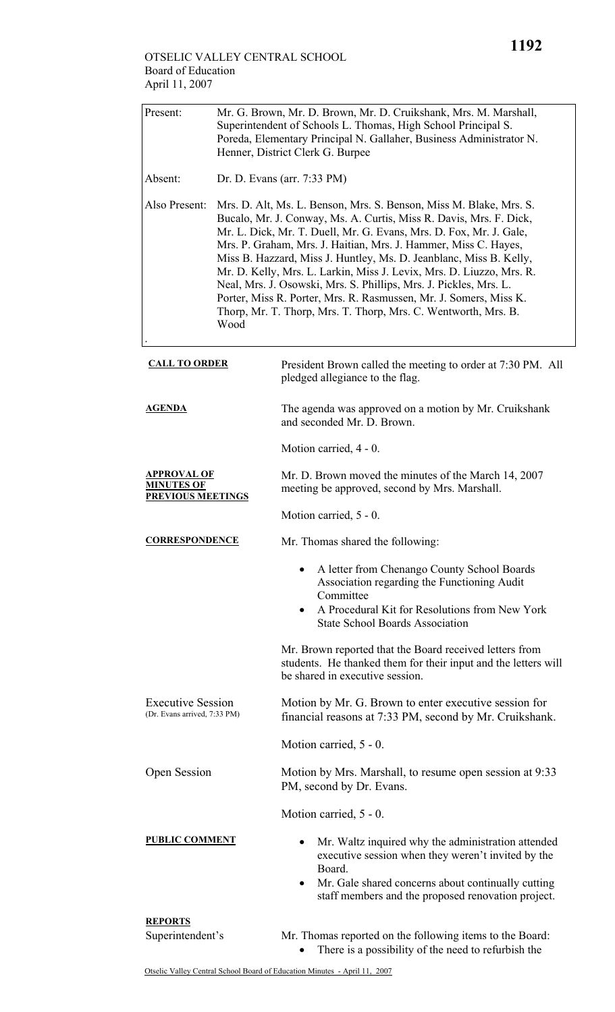| Present:                                                            | Mr. G. Brown, Mr. D. Brown, Mr. D. Cruikshank, Mrs. M. Marshall,<br>Superintendent of Schools L. Thomas, High School Principal S.<br>Poreda, Elementary Principal N. Gallaher, Business Administrator N.<br>Henner, District Clerk G. Burpee                                                                                                                                                                                                                                                                                                                                                                                                        |                                                                                                                                                                                                                                                  |  |  |  |
|---------------------------------------------------------------------|-----------------------------------------------------------------------------------------------------------------------------------------------------------------------------------------------------------------------------------------------------------------------------------------------------------------------------------------------------------------------------------------------------------------------------------------------------------------------------------------------------------------------------------------------------------------------------------------------------------------------------------------------------|--------------------------------------------------------------------------------------------------------------------------------------------------------------------------------------------------------------------------------------------------|--|--|--|
| Absent:                                                             | Dr. D. Evans (arr. 7:33 PM)                                                                                                                                                                                                                                                                                                                                                                                                                                                                                                                                                                                                                         |                                                                                                                                                                                                                                                  |  |  |  |
| Also Present:                                                       | Mrs. D. Alt, Ms. L. Benson, Mrs. S. Benson, Miss M. Blake, Mrs. S.<br>Bucalo, Mr. J. Conway, Ms. A. Curtis, Miss R. Davis, Mrs. F. Dick,<br>Mr. L. Dick, Mr. T. Duell, Mr. G. Evans, Mrs. D. Fox, Mr. J. Gale,<br>Mrs. P. Graham, Mrs. J. Haitian, Mrs. J. Hammer, Miss C. Hayes,<br>Miss B. Hazzard, Miss J. Huntley, Ms. D. Jeanblanc, Miss B. Kelly,<br>Mr. D. Kelly, Mrs. L. Larkin, Miss J. Levix, Mrs. D. Liuzzo, Mrs. R.<br>Neal, Mrs. J. Osowski, Mrs. S. Phillips, Mrs. J. Pickles, Mrs. L.<br>Porter, Miss R. Porter, Mrs. R. Rasmussen, Mr. J. Somers, Miss K.<br>Thorp, Mr. T. Thorp, Mrs. T. Thorp, Mrs. C. Wentworth, Mrs. B.<br>Wood |                                                                                                                                                                                                                                                  |  |  |  |
| <b>CALL TO ORDER</b>                                                |                                                                                                                                                                                                                                                                                                                                                                                                                                                                                                                                                                                                                                                     | President Brown called the meeting to order at 7:30 PM. All<br>pledged allegiance to the flag.                                                                                                                                                   |  |  |  |
| <u>AGENDA</u>                                                       |                                                                                                                                                                                                                                                                                                                                                                                                                                                                                                                                                                                                                                                     | The agenda was approved on a motion by Mr. Cruikshank<br>and seconded Mr. D. Brown.                                                                                                                                                              |  |  |  |
|                                                                     |                                                                                                                                                                                                                                                                                                                                                                                                                                                                                                                                                                                                                                                     | Motion carried, 4 - 0.                                                                                                                                                                                                                           |  |  |  |
| <b>APPROVAL OF</b><br><u>MINUTES OF</u><br><b>PREVIOUS MEETINGS</b> |                                                                                                                                                                                                                                                                                                                                                                                                                                                                                                                                                                                                                                                     | Mr. D. Brown moved the minutes of the March 14, 2007<br>meeting be approved, second by Mrs. Marshall.                                                                                                                                            |  |  |  |
|                                                                     |                                                                                                                                                                                                                                                                                                                                                                                                                                                                                                                                                                                                                                                     | Motion carried, 5 - 0.                                                                                                                                                                                                                           |  |  |  |
| <b>CORRESPONDENCE</b>                                               |                                                                                                                                                                                                                                                                                                                                                                                                                                                                                                                                                                                                                                                     | Mr. Thomas shared the following:                                                                                                                                                                                                                 |  |  |  |
|                                                                     |                                                                                                                                                                                                                                                                                                                                                                                                                                                                                                                                                                                                                                                     | A letter from Chenango County School Boards<br>Association regarding the Functioning Audit<br>Committee<br>A Procedural Kit for Resolutions from New York<br>$\bullet$<br><b>State School Boards Association</b>                                 |  |  |  |
|                                                                     |                                                                                                                                                                                                                                                                                                                                                                                                                                                                                                                                                                                                                                                     | Mr. Brown reported that the Board received letters from<br>students. He thanked them for their input and the letters will<br>be shared in executive session.                                                                                     |  |  |  |
| <b>Executive Session</b><br>(Dr. Evans arrived, 7:33 PM)            |                                                                                                                                                                                                                                                                                                                                                                                                                                                                                                                                                                                                                                                     | Motion by Mr. G. Brown to enter executive session for<br>financial reasons at 7:33 PM, second by Mr. Cruikshank.                                                                                                                                 |  |  |  |
|                                                                     |                                                                                                                                                                                                                                                                                                                                                                                                                                                                                                                                                                                                                                                     | Motion carried, 5 - 0.                                                                                                                                                                                                                           |  |  |  |
| <b>Open Session</b>                                                 |                                                                                                                                                                                                                                                                                                                                                                                                                                                                                                                                                                                                                                                     | Motion by Mrs. Marshall, to resume open session at 9:33<br>PM, second by Dr. Evans.                                                                                                                                                              |  |  |  |
|                                                                     |                                                                                                                                                                                                                                                                                                                                                                                                                                                                                                                                                                                                                                                     | Motion carried, 5 - 0.                                                                                                                                                                                                                           |  |  |  |
| <b>PUBLIC COMMENT</b>                                               |                                                                                                                                                                                                                                                                                                                                                                                                                                                                                                                                                                                                                                                     | Mr. Waltz inquired why the administration attended<br>٠<br>executive session when they weren't invited by the<br>Board.<br>Mr. Gale shared concerns about continually cutting<br>$\bullet$<br>staff members and the proposed renovation project. |  |  |  |
| <b>REPORTS</b>                                                      |                                                                                                                                                                                                                                                                                                                                                                                                                                                                                                                                                                                                                                                     |                                                                                                                                                                                                                                                  |  |  |  |
| Superintendent's                                                    |                                                                                                                                                                                                                                                                                                                                                                                                                                                                                                                                                                                                                                                     | Mr. Thomas reported on the following items to the Board:                                                                                                                                                                                         |  |  |  |

• There is a possibility of the need to refurbish the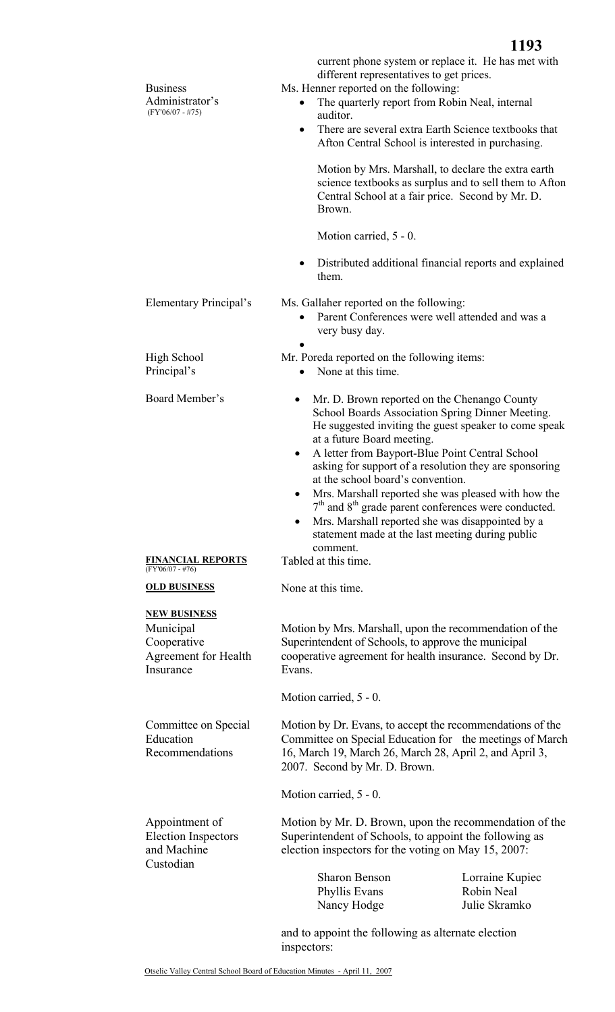| <b>Business</b><br>Administrator's<br>$(FY'06/07 - #75)$                             | current phone system or replace it. He has met with<br>different representatives to get prices.<br>Ms. Henner reported on the following:<br>The quarterly report from Robin Neal, internal<br>auditor.<br>There are several extra Earth Science textbooks that<br>$\bullet$<br>Afton Central School is interested in purchasing.<br>Motion by Mrs. Marshall, to declare the extra earth<br>science textbooks as surplus and to sell them to Afton<br>Central School at a fair price. Second by Mr. D.<br>Brown.<br>Motion carried, 5 - 0.<br>Distributed additional financial reports and explained<br>them.                                         |                                                                                                                                                                                  |  |
|--------------------------------------------------------------------------------------|------------------------------------------------------------------------------------------------------------------------------------------------------------------------------------------------------------------------------------------------------------------------------------------------------------------------------------------------------------------------------------------------------------------------------------------------------------------------------------------------------------------------------------------------------------------------------------------------------------------------------------------------------|----------------------------------------------------------------------------------------------------------------------------------------------------------------------------------|--|
| <b>Elementary Principal's</b>                                                        | Ms. Gallaher reported on the following:<br>Parent Conferences were well attended and was a<br>very busy day.                                                                                                                                                                                                                                                                                                                                                                                                                                                                                                                                         |                                                                                                                                                                                  |  |
| High School<br>Principal's                                                           | Mr. Poreda reported on the following items:<br>None at this time.                                                                                                                                                                                                                                                                                                                                                                                                                                                                                                                                                                                    |                                                                                                                                                                                  |  |
| Board Member's<br><b>FINANCIAL REPORTS</b><br>$(FY'06/07 - #76)$                     | Mr. D. Brown reported on the Chenango County<br>$\bullet$<br>School Boards Association Spring Dinner Meeting.<br>He suggested inviting the guest speaker to come speak<br>at a future Board meeting.<br>A letter from Bayport-Blue Point Central School<br>$\bullet$<br>asking for support of a resolution they are sponsoring<br>at the school board's convention.<br>Mrs. Marshall reported she was pleased with how the<br>٠<br>$7th$ and $8th$ grade parent conferences were conducted.<br>Mrs. Marshall reported she was disappointed by a<br>$\bullet$<br>statement made at the last meeting during public<br>comment.<br>Tabled at this time. |                                                                                                                                                                                  |  |
| <b>OLD BUSINESS</b>                                                                  | None at this time.                                                                                                                                                                                                                                                                                                                                                                                                                                                                                                                                                                                                                                   |                                                                                                                                                                                  |  |
| <b>NEW BUSINESS</b><br>Municipal<br>Cooperative<br>Agreement for Health<br>Insurance | Motion by Mrs. Marshall, upon the recommendation of the<br>Superintendent of Schools, to approve the municipal<br>cooperative agreement for health insurance. Second by Dr.<br>Evans.<br>Motion carried, 5 - 0.                                                                                                                                                                                                                                                                                                                                                                                                                                      |                                                                                                                                                                                  |  |
| Committee on Special<br>Education<br>Recommendations                                 | 2007. Second by Mr. D. Brown.                                                                                                                                                                                                                                                                                                                                                                                                                                                                                                                                                                                                                        | Motion by Dr. Evans, to accept the recommendations of the<br>Committee on Special Education for the meetings of March<br>16, March 19, March 26, March 28, April 2, and April 3, |  |
| Appointment of<br><b>Election Inspectors</b><br>and Machine<br>Custodian             | Motion carried, 5 - 0.<br>Motion by Mr. D. Brown, upon the recommendation of the<br>Superintendent of Schools, to appoint the following as<br>election inspectors for the voting on May 15, 2007:<br><b>Sharon Benson</b><br>Lorraine Kupiec                                                                                                                                                                                                                                                                                                                                                                                                         |                                                                                                                                                                                  |  |
|                                                                                      | Phyllis Evans<br>Nancy Hodge                                                                                                                                                                                                                                                                                                                                                                                                                                                                                                                                                                                                                         | Robin Neal<br>Julie Skramko                                                                                                                                                      |  |

and to appoint the following as alternate election inspectors: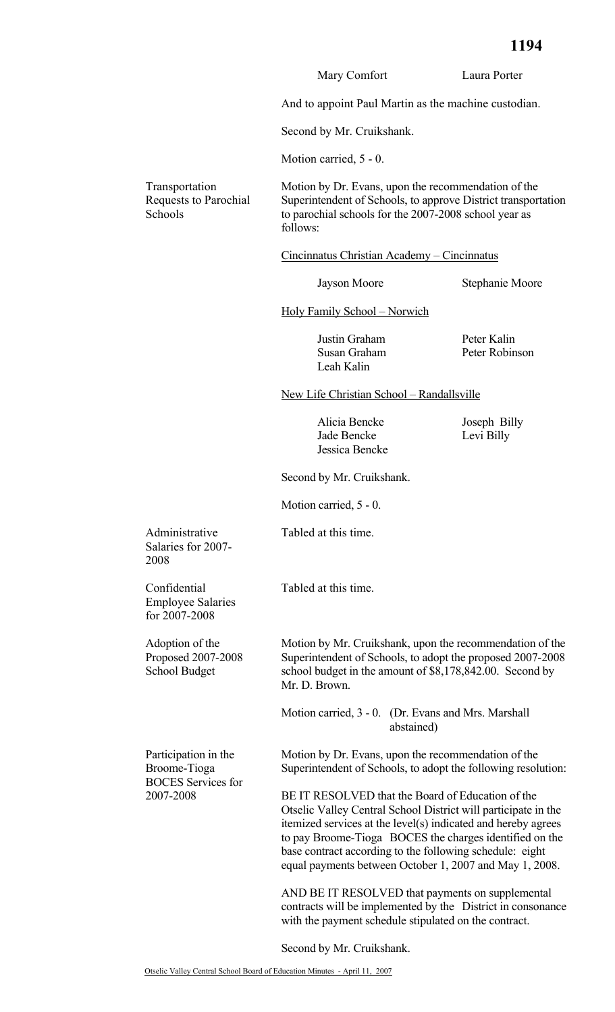|                                                                   | Mary Comfort                                                                                                                                                                                                                                                                                                                                                           | Laura Porter                                        |  |  |
|-------------------------------------------------------------------|------------------------------------------------------------------------------------------------------------------------------------------------------------------------------------------------------------------------------------------------------------------------------------------------------------------------------------------------------------------------|-----------------------------------------------------|--|--|
|                                                                   | And to appoint Paul Martin as the machine custodian.                                                                                                                                                                                                                                                                                                                   |                                                     |  |  |
|                                                                   | Second by Mr. Cruikshank.                                                                                                                                                                                                                                                                                                                                              |                                                     |  |  |
|                                                                   | Motion carried, 5 - 0.                                                                                                                                                                                                                                                                                                                                                 |                                                     |  |  |
| Transportation<br>Requests to Parochial<br>Schools                | Motion by Dr. Evans, upon the recommendation of the<br>Superintendent of Schools, to approve District transportation<br>to parochial schools for the 2007-2008 school year as<br>follows:                                                                                                                                                                              |                                                     |  |  |
|                                                                   | Cincinnatus Christian Academy - Cincinnatus                                                                                                                                                                                                                                                                                                                            |                                                     |  |  |
|                                                                   | Jayson Moore                                                                                                                                                                                                                                                                                                                                                           | Stephanie Moore                                     |  |  |
|                                                                   | <b>Holy Family School - Norwich</b>                                                                                                                                                                                                                                                                                                                                    |                                                     |  |  |
|                                                                   | Justin Graham<br>Susan Graham<br>Leah Kalin                                                                                                                                                                                                                                                                                                                            | Peter Kalin<br>Peter Robinson                       |  |  |
|                                                                   | New Life Christian School - Randallsville                                                                                                                                                                                                                                                                                                                              |                                                     |  |  |
|                                                                   | Alicia Bencke<br>Jade Bencke<br>Jessica Bencke                                                                                                                                                                                                                                                                                                                         | Joseph Billy<br>Levi Billy                          |  |  |
|                                                                   | Second by Mr. Cruikshank.                                                                                                                                                                                                                                                                                                                                              |                                                     |  |  |
|                                                                   | Motion carried, 5 - 0.                                                                                                                                                                                                                                                                                                                                                 |                                                     |  |  |
| Administrative<br>Salaries for 2007-<br>2008                      | Tabled at this time.                                                                                                                                                                                                                                                                                                                                                   |                                                     |  |  |
| Confidential<br><b>Employee Salaries</b><br>for 2007-2008         | Tabled at this time.                                                                                                                                                                                                                                                                                                                                                   |                                                     |  |  |
| Adoption of the<br>Proposed 2007-2008<br>School Budget            | Motion by Mr. Cruikshank, upon the recommendation of the<br>Superintendent of Schools, to adopt the proposed 2007-2008<br>school budget in the amount of \$8,178,842.00. Second by<br>Mr. D. Brown.                                                                                                                                                                    |                                                     |  |  |
|                                                                   | abstained)                                                                                                                                                                                                                                                                                                                                                             | Motion carried, 3 - 0. (Dr. Evans and Mrs. Marshall |  |  |
| Participation in the<br>Broome-Tioga<br><b>BOCES</b> Services for | Motion by Dr. Evans, upon the recommendation of the<br>Superintendent of Schools, to adopt the following resolution:                                                                                                                                                                                                                                                   |                                                     |  |  |
| 2007-2008                                                         | BE IT RESOLVED that the Board of Education of the<br>Otselic Valley Central School District will participate in the<br>itemized services at the level(s) indicated and hereby agrees<br>to pay Broome-Tioga BOCES the charges identified on the<br>base contract according to the following schedule: eight<br>equal payments between October 1, 2007 and May 1, 2008. |                                                     |  |  |
|                                                                   | AND BE IT RESOLVED that payments on supplemental<br>contracts will be implemented by the District in consonance<br>with the payment schedule stipulated on the contract.                                                                                                                                                                                               |                                                     |  |  |

Second by Mr. Cruikshank.